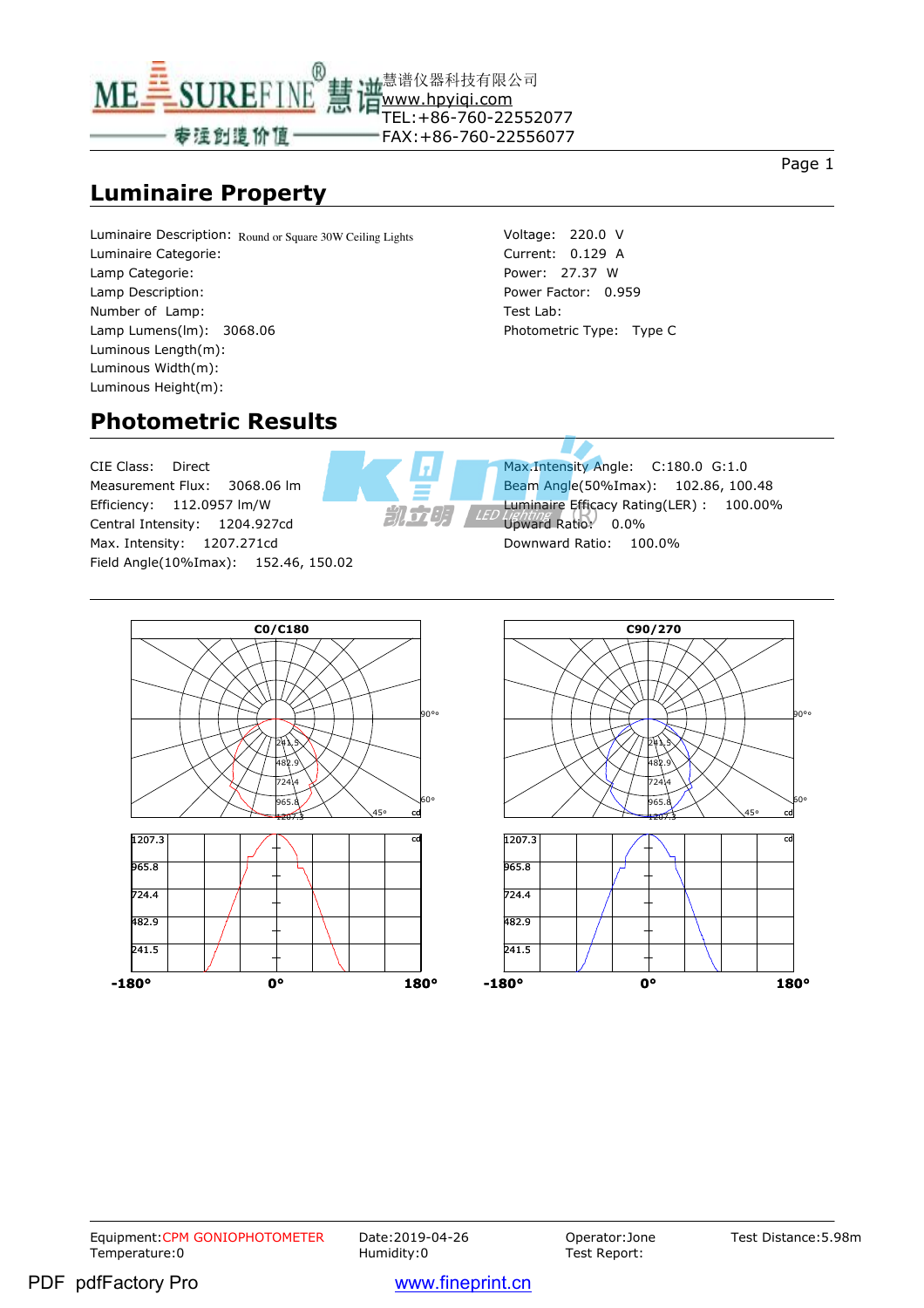

#### **Luminaire Property**

Page 1

Luminaire Description: Round or Square 30W Ceiling Lights Luminaire Categorie: Lamp Categorie: Lamp Description: Number of Lamp: Lamp Lumens(lm): 3068.06 Luminous Length(m): Luminous Width(m): Luminous Height(m):

Voltage: 220.0 V Current: 0.129 A Power: 27.37 W Power Factor: 0.959 Test Lab: Photometric Type: Type C

#### **Photometric Results**

CIE Class: Direct Measurement Flux: 3068.06 lm Efficiency: 112.0957 lm/W Central Intensity: 1204.927cd Max. Intensity: 1207.271cd Field Angle(10%Imax): 152.46, 150.02



Max.Intensity Angle: C:180.0 G:1.0 Beam Angle(50%Imax): 102.86, 100.48 Luminaire Efficacy Rating(LER) : 100.00% Upward Ratio: 0.0% Downward Ratio: 100.0%



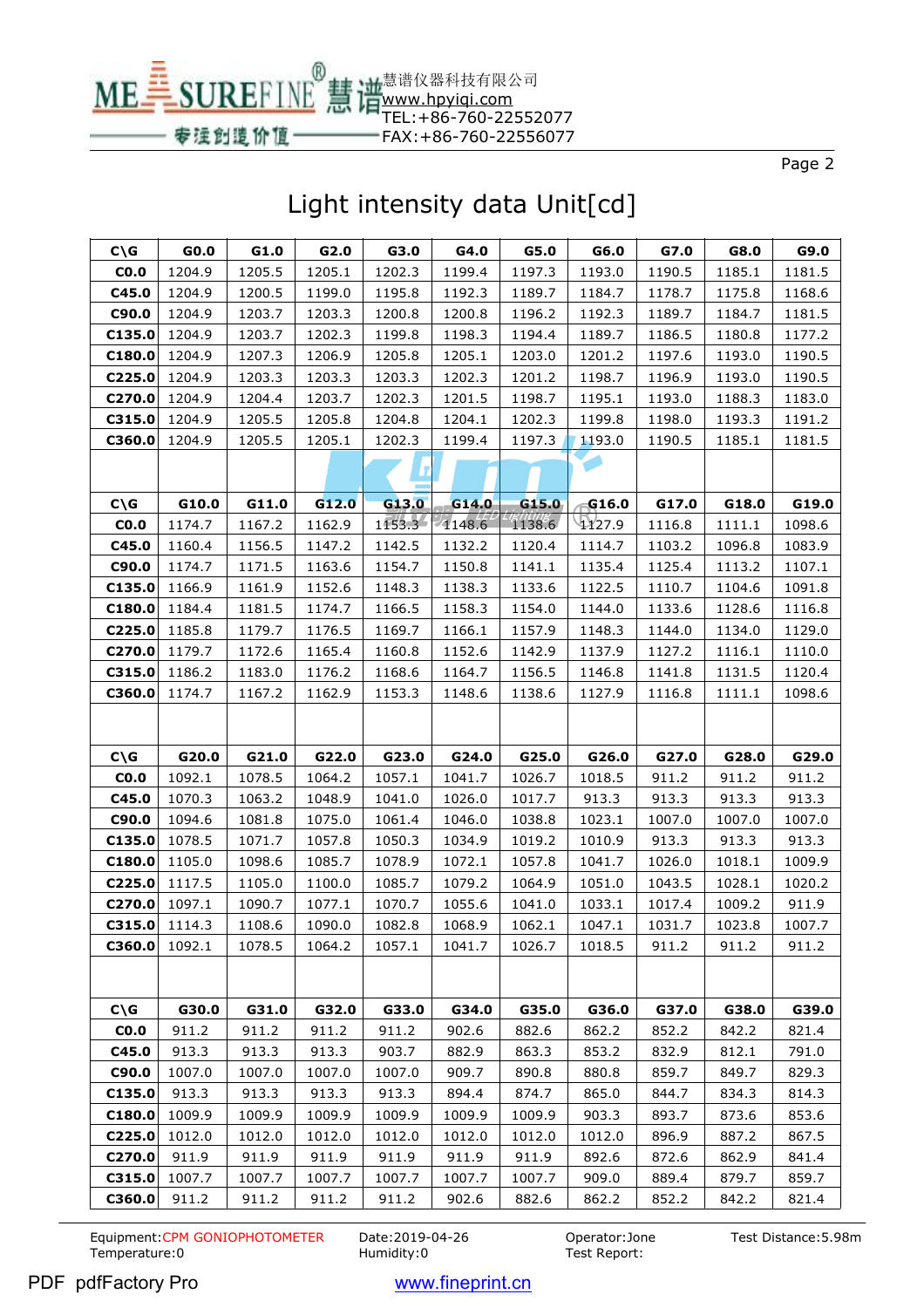MEE SUREFINE www.hpyiqi.com TEL:+86-760-22552077 FAX:+86-760-22556077

®

专运创造价值

Page 2

#### Light intensity data Unit[cd]

慧谱仪器科技有限公司

| $C\setminus G$  | GO.0   | G1.0   | G2.0   | G3.0   | G4.0   | G5.0   | G6.0     | G7.0   | G8.0   | G9.0   |
|-----------------|--------|--------|--------|--------|--------|--------|----------|--------|--------|--------|
| CO.0            | 1204.9 | 1205.5 | 1205.1 | 1202.3 | 1199.4 | 1197.3 | 1193.0   | 1190.5 | 1185.1 | 1181.5 |
| C45.0           | 1204.9 | 1200.5 | 1199.0 | 1195.8 | 1192.3 | 1189.7 | 1184.7   | 1178.7 | 1175.8 | 1168.6 |
| C90.0           | 1204.9 | 1203.7 | 1203.3 | 1200.8 | 1200.8 | 1196.2 | 1192.3   | 1189.7 | 1184.7 | 1181.5 |
| C135.0          | 1204.9 | 1203.7 | 1202.3 | 1199.8 | 1198.3 | 1194.4 | 1189.7   | 1186.5 | 1180.8 | 1177.2 |
| C180.0          | 1204.9 | 1207.3 | 1206.9 | 1205.8 | 1205.1 | 1203.0 | 1201.2   | 1197.6 | 1193.0 | 1190.5 |
| C225.0          | 1204.9 | 1203.3 | 1203.3 | 1203.3 | 1202.3 | 1201.2 | 1198.7   | 1196.9 | 1193.0 | 1190.5 |
| C270.0          | 1204.9 | 1204.4 | 1203.7 | 1202.3 | 1201.5 | 1198.7 | 1195.1   | 1193.0 | 1188.3 | 1183.0 |
| C315.0          | 1204.9 | 1205.5 | 1205.8 | 1204.8 | 1204.1 | 1202.3 | 1199.8   | 1198.0 | 1193.3 | 1191.2 |
| C360.0          | 1204.9 | 1205.5 | 1205.1 | 1202.3 | 1199.4 | 1197.3 | 1193.0   | 1190.5 | 1185.1 | 1181.5 |
|                 |        |        |        |        |        |        |          |        |        |        |
|                 |        |        |        |        |        |        |          |        |        |        |
| $C\setminus G$  | G10.0  | G11.0  | G12.0  | G13.0  | G14.0  | G15.0  | \$46.0\$ | G17.0  | G18.0  | G19.0  |
| CO.0            | 1174.7 | 1167.2 | 1162.9 | 1153.3 | 7148.6 | 1138.6 | 4127.9   | 1116.8 | 1111.1 | 1098.6 |
| C45.0           | 1160.4 | 1156.5 | 1147.2 | 1142.5 | 1132.2 | 1120.4 | 1114.7   | 1103.2 | 1096.8 | 1083.9 |
| C90.0           | 1174.7 | 1171.5 | 1163.6 | 1154.7 | 1150.8 | 1141.1 | 1135.4   | 1125.4 | 1113.2 | 1107.1 |
| C135.0          | 1166.9 | 1161.9 | 1152.6 | 1148.3 | 1138.3 | 1133.6 | 1122.5   | 1110.7 | 1104.6 | 1091.8 |
| C180.0          | 1184.4 | 1181.5 | 1174.7 | 1166.5 | 1158.3 | 1154.0 | 1144.0   | 1133.6 | 1128.6 | 1116.8 |
| C225.0          | 1185.8 | 1179.7 | 1176.5 | 1169.7 | 1166.1 | 1157.9 | 1148.3   | 1144.0 | 1134.0 | 1129.0 |
| C270.0          | 1179.7 | 1172.6 | 1165.4 | 1160.8 | 1152.6 | 1142.9 | 1137.9   | 1127.2 | 1116.1 | 1110.0 |
| C315.0          | 1186.2 | 1183.0 | 1176.2 | 1168.6 | 1164.7 | 1156.5 | 1146.8   | 1141.8 | 1131.5 | 1120.4 |
| C360.0          | 1174.7 | 1167.2 | 1162.9 | 1153.3 | 1148.6 | 1138.6 | 1127.9   | 1116.8 | 1111.1 | 1098.6 |
|                 |        |        |        |        |        |        |          |        |        |        |
|                 |        |        |        |        |        |        |          |        |        |        |
|                 |        |        |        |        |        |        |          |        |        |        |
| C/G             | G20.0  | G21.0  | G22.0  | G23.0  | G24.0  | G25.0  | G26.0    | G27.0  | G28.0  | G29.0  |
| CO.0            | 1092.1 | 1078.5 | 1064.2 | 1057.1 | 1041.7 | 1026.7 | 1018.5   | 911.2  | 911.2  | 911.2  |
| C45.0           | 1070.3 | 1063.2 | 1048.9 | 1041.0 | 1026.0 | 1017.7 | 913.3    | 913.3  | 913.3  | 913.3  |
| C90.0           | 1094.6 | 1081.8 | 1075.0 | 1061.4 | 1046.0 | 1038.8 | 1023.1   | 1007.0 | 1007.0 | 1007.0 |
| C135.0          | 1078.5 | 1071.7 | 1057.8 | 1050.3 | 1034.9 | 1019.2 | 1010.9   | 913.3  | 913.3  | 913.3  |
| C180.0          | 1105.0 | 1098.6 | 1085.7 | 1078.9 | 1072.1 | 1057.8 | 1041.7   | 1026.0 | 1018.1 | 1009.9 |
| C225.0          | 1117.5 | 1105.0 | 1100.0 | 1085.7 | 1079.2 | 1064.9 | 1051.0   | 1043.5 | 1028.1 | 1020.2 |
| C270.0          | 1097.1 | 1090.7 | 1077.1 | 1070.7 | 1055.6 | 1041.0 | 1033.1   | 1017.4 | 1009.2 | 911.9  |
| $C315.0$ 1114.3 |        | 1108.6 | 1090.0 | 1082.8 | 1068.9 | 1062.1 | 1047.1   | 1031.7 | 1023.8 | 1007.7 |
| C360.0          | 1092.1 | 1078.5 | 1064.2 | 1057.1 | 1041.7 | 1026.7 | 1018.5   | 911.2  | 911.2  | 911.2  |
|                 |        |        |        |        |        |        |          |        |        |        |
| $C\setminus G$  | G30.0  | G31.0  | G32.0  | G33.0  | G34.0  | G35.0  | G36.0    | G37.0  | G38.0  | G39.0  |
| CO.0            | 911.2  | 911.2  | 911.2  | 911.2  | 902.6  | 882.6  | 862.2    | 852.2  | 842.2  | 821.4  |
| C45.0           | 913.3  | 913.3  | 913.3  | 903.7  | 882.9  | 863.3  | 853.2    | 832.9  | 812.1  | 791.0  |
| C90.0           | 1007.0 | 1007.0 | 1007.0 | 1007.0 | 909.7  | 890.8  | 880.8    | 859.7  | 849.7  | 829.3  |
| C135.0          | 913.3  | 913.3  | 913.3  | 913.3  | 894.4  | 874.7  | 865.0    | 844.7  | 834.3  | 814.3  |
| C180.0          | 1009.9 | 1009.9 | 1009.9 | 1009.9 | 1009.9 | 1009.9 | 903.3    | 893.7  | 873.6  | 853.6  |
| C225.0          | 1012.0 | 1012.0 | 1012.0 | 1012.0 | 1012.0 | 1012.0 | 1012.0   | 896.9  | 887.2  | 867.5  |
| C270.0          | 911.9  | 911.9  | 911.9  | 911.9  | 911.9  | 911.9  | 892.6    | 872.6  | 862.9  | 841.4  |
| C315.0          | 1007.7 | 1007.7 | 1007.7 | 1007.7 | 1007.7 | 1007.7 | 909.0    | 889.4  | 879.7  | 859.7  |

Equipment:CPM GONIOPHOTOMETER Date:2019-04-26 Operator:Jone<br>Temperature:0 Humidity:0 Humidity:0 Test Report: Temperature:0

Test Report:

Test Distance:5.98m

PDF pdfFactory Pro www.fineprint.cn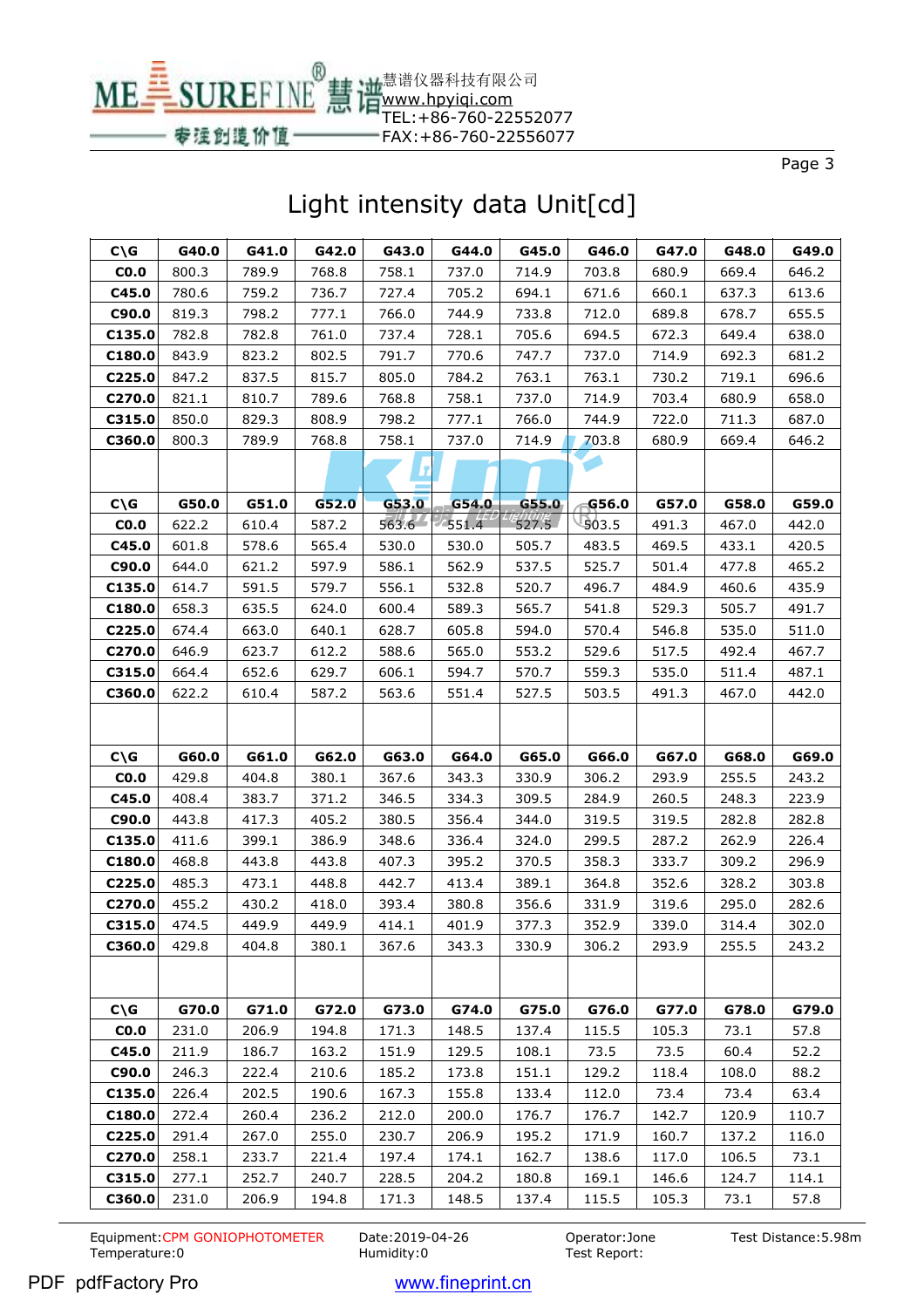MEE SUREFINE www.hpyiqi.com TEL:+86-760-22552077

®

专运创造价值

Page 3

# Light intensity data Unit[cd]

慧谱仪器科技有限公司

FAX:+86-760-22556077

| $C\setminus G$   | G40.0          | G41.0          | G42.0          | G43.0          | G44.0          | G45.0          | G46.0          | G47.0          | G48.0          | G49.0          |
|------------------|----------------|----------------|----------------|----------------|----------------|----------------|----------------|----------------|----------------|----------------|
| CO.0             | 800.3          | 789.9          | 768.8          | 758.1          | 737.0          | 714.9          | 703.8          | 680.9          | 669.4          | 646.2          |
| C45.0            | 780.6          | 759.2          | 736.7          | 727.4          | 705.2          | 694.1          | 671.6          | 660.1          | 637.3          | 613.6          |
| C90.0            | 819.3          | 798.2          | 777.1          | 766.0          | 744.9          | 733.8          | 712.0          | 689.8          | 678.7          | 655.5          |
| C135.0           | 782.8          | 782.8          | 761.0          | 737.4          | 728.1          | 705.6          | 694.5          | 672.3          | 649.4          | 638.0          |
| C180.0           | 843.9          | 823.2          | 802.5          | 791.7          | 770.6          | 747.7          | 737.0          | 714.9          | 692.3          | 681.2          |
| C225.0           | 847.2          | 837.5          | 815.7          | 805.0          | 784.2          | 763.1          | 763.1          | 730.2          | 719.1          | 696.6          |
| C270.0           | 821.1          | 810.7          | 789.6          | 768.8          | 758.1          | 737.0          | 714.9          | 703.4          | 680.9          | 658.0          |
| C315.0           | 850.0          | 829.3          | 808.9          | 798.2          | 777.1          | 766.0          | 744.9          | 722.0          | 711.3          | 687.0          |
| C360.0           | 800.3          | 789.9          | 768.8          | 758.1          | 737.0          | 714.9          | 703.8          | 680.9          | 669.4          | 646.2          |
|                  |                |                |                | LZ.            |                |                |                |                |                |                |
|                  |                |                |                |                |                |                |                |                |                |                |
| $C\setminus G$   | G50.0          | G51.0          | G52.0          | G53.0          | G54.0          | G55.0          | G56.0          | G57.0          | G58.0          | G59.0          |
| CO.0             | 622.2          | 610.4          | 587.2          | $563.6 -$      | 551.4          | 527.5          | 903.5          | 491.3          | 467.0          | 442.0          |
| C45.0            | 601.8          | 578.6          | 565.4          | 530.0          | 530.0          | 505.7          | 483.5          | 469.5          | 433.1          | 420.5          |
| C90.0            | 644.0          | 621.2          | 597.9          | 586.1          | 562.9          | 537.5          | 525.7          | 501.4          | 477.8          | 465.2          |
| C135.0           | 614.7          | 591.5          | 579.7          | 556.1          | 532.8          | 520.7          | 496.7          | 484.9          | 460.6          | 435.9          |
| C180.0           | 658.3          | 635.5          | 624.0          | 600.4          | 589.3          | 565.7          | 541.8          | 529.3          | 505.7          | 491.7          |
| C225.0           | 674.4          | 663.0          | 640.1          | 628.7          | 605.8          | 594.0          | 570.4          | 546.8          | 535.0          | 511.0          |
| C270.0           | 646.9          | 623.7          | 612.2          | 588.6          | 565.0          | 553.2          | 529.6          | 517.5          | 492.4          | 467.7          |
| C315.0           | 664.4          | 652.6          | 629.7          | 606.1          | 594.7          | 570.7          | 559.3          | 535.0          | 511.4          | 487.1          |
| C360.0           | 622.2          | 610.4          | 587.2          | 563.6          | 551.4          | 527.5          | 503.5          | 491.3          | 467.0          | 442.0          |
|                  |                |                |                |                |                |                |                |                |                |                |
|                  |                |                |                |                |                |                |                |                |                |                |
|                  |                |                |                |                |                |                |                |                |                |                |
| $C\ G$           | G60.0          | G61.0          | G62.0          | G63.0          | G64.0          | G65.0          | G66.0          | G67.0          | G68.0          | G69.0          |
| CO.0             | 429.8          | 404.8          | 380.1          | 367.6          | 343.3          | 330.9          | 306.2          | 293.9          | 255.5          | 243.2          |
| C45.0            | 408.4          | 383.7          | 371.2          | 346.5          | 334.3          | 309.5          | 284.9          | 260.5          | 248.3          | 223.9          |
| C90.0            | 443.8          | 417.3          | 405.2          | 380.5          | 356.4          | 344.0          | 319.5          | 319.5          | 282.8          | 282.8          |
| C135.0           | 411.6          | 399.1          | 386.9          | 348.6          | 336.4          | 324.0          | 299.5          | 287.2          | 262.9          | 226.4          |
| C180.0           | 468.8          | 443.8          | 443.8          | 407.3          | 395.2          | 370.5          | 358.3          | 333.7          | 309.2          | 296.9          |
| C225.0           | 485.3          | 473.1          | 448.8          | 442.7          | 413.4          | 389.1          | 364.8          | 352.6          | 328.2          | 303.8          |
| C270.0           | 455.2<br>474.5 | 430.2          | 418.0          | 393.4<br>414.1 | 380.8<br>401.9 | 356.6<br>377.3 | 331.9<br>352.9 | 319.6          | 295.0<br>314.4 | 282.6<br>302.0 |
| C315.0<br>C360.0 | 429.8          | 449.9<br>404.8 | 449.9<br>380.1 | 367.6          | 343.3          | 330.9          | 306.2          | 339.0<br>293.9 | 255.5          | 243.2          |
|                  |                |                |                |                |                |                |                |                |                |                |
|                  |                |                |                |                |                |                |                |                |                |                |
| $C\setminus G$   | G70.0          | G71.0          | G72.0          | G73.0          | G74.0          | G75.0          | G76.0          | G77.0          | G78.0          | G79.0          |
| CO.0             | 231.0          | 206.9          | 194.8          | 171.3          | 148.5          | 137.4          | 115.5          | 105.3          | 73.1           | 57.8           |
| C45.0            | 211.9          | 186.7          | 163.2          | 151.9          | 129.5          | 108.1          | 73.5           | 73.5           | 60.4           | 52.2           |
| C90.0            | 246.3          | 222.4          | 210.6          | 185.2          | 173.8          | 151.1          | 129.2          | 118.4          | 108.0          | 88.2           |
| C135.0           | 226.4          | 202.5          | 190.6          | 167.3          | 155.8          | 133.4          | 112.0          | 73.4           | 73.4           | 63.4           |
| C180.0           | 272.4          | 260.4          | 236.2          | 212.0          | 200.0          | 176.7          | 176.7          | 142.7          | 120.9          | 110.7          |
| C225.0           | 291.4          | 267.0          | 255.0          | 230.7          | 206.9          | 195.2          | 171.9          | 160.7          | 137.2          | 116.0          |
| C270.0           | 258.1          | 233.7          | 221.4          | 197.4          | 174.1          | 162.7          | 138.6          | 117.0          | 106.5          | 73.1           |
| C315.0           | 277.1          | 252.7          | 240.7          | 228.5          | 204.2          | 180.8          | 169.1          | 146.6          | 124.7          | 114.1          |

Equipment:CPM GONIOPHOTOMETER Date:2019-04-26 Operator:Jone<br>Temperature:0 Humidity:0 Humidity:0 Test Report: Temperature:0

Test Report:

Test Distance:5.98m

PDF pdfFactory Pro www.fineprint.cn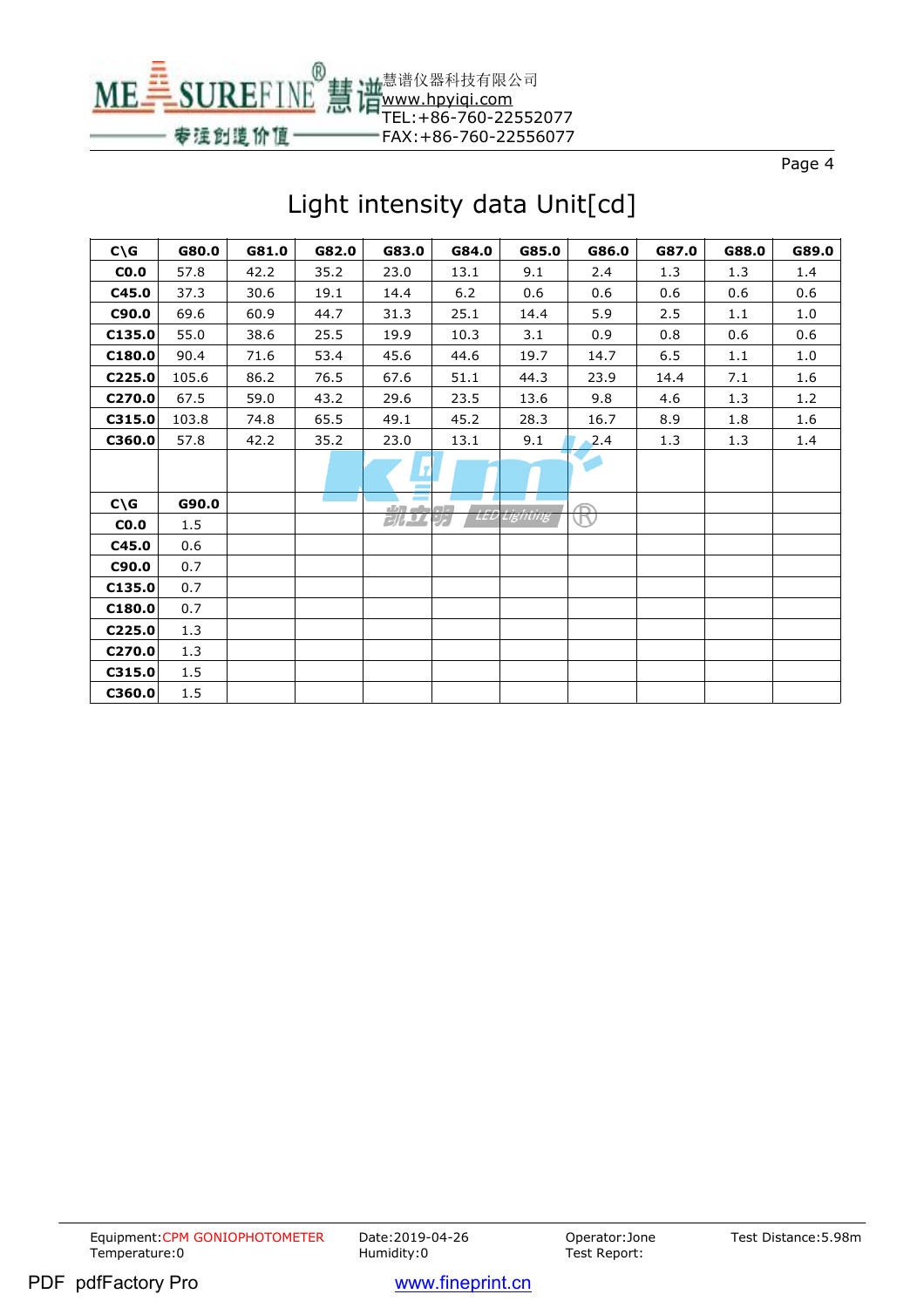

# Light intensity data Unit[cd]

| $C\setminus G$ | G80.0 | G81.0 | G82.0 | G83.0          | G84.0         | G85.0    | G86.0 | G87.0 | G88.0 | G89.0 |
|----------------|-------|-------|-------|----------------|---------------|----------|-------|-------|-------|-------|
| CO.0           | 57.8  | 42.2  | 35.2  | 23.0           | 13.1          | 9.1      | 2.4   | 1.3   | 1.3   | 1.4   |
| C45.0          | 37.3  | 30.6  | 19.1  | 14.4           | 6.2           | 0.6      | 0.6   | 0.6   | 0.6   | 0.6   |
| C90.0          | 69.6  | 60.9  | 44.7  | 31.3           | 25.1          | 14.4     | 5.9   | 2.5   | 1.1   | 1.0   |
| C135.0         | 55.0  | 38.6  | 25.5  | 19.9           | 10.3          | 3.1      | 0.9   | 0.8   | 0.6   | 0.6   |
| C180.0         | 90.4  | 71.6  | 53.4  | 45.6           | 44.6          | 19.7     | 14.7  | 6.5   | 1.1   | 1.0   |
| C225.0         | 105.6 | 86.2  | 76.5  | 67.6           | 51.1          | 44.3     | 23.9  | 14.4  | 7.1   | 1.6   |
| C270.0         | 67.5  | 59.0  | 43.2  | 29.6           | 23.5          | 13.6     | 9.8   | 4.6   | 1.3   | 1.2   |
| C315.0         | 103.8 | 74.8  | 65.5  | 49.1           | 45.2          | 28.3     | 16.7  | 8.9   | 1.8   | 1.6   |
| C360.0         | 57.8  | 42.2  | 35.2  | 23.0           | 13.1          | 9.1      | 2.4   | 1.3   | 1.3   | 1.4   |
|                |       |       |       |                |               |          |       |       |       |       |
| $C\setminus G$ | G90.0 |       |       | $\overline{a}$ |               |          |       |       |       |       |
| CO.0           | 1.5   |       |       | <b>BIAD</b>    | LEL<br>بتركنه | Lighting |       |       |       |       |
| C45.0          | 0.6   |       |       |                |               |          |       |       |       |       |
| C90.0          | 0.7   |       |       |                |               |          |       |       |       |       |
| C135.0         | 0.7   |       |       |                |               |          |       |       |       |       |
| C180.0         | 0.7   |       |       |                |               |          |       |       |       |       |
| C225.0         | 1.3   |       |       |                |               |          |       |       |       |       |
| C270.0         | 1.3   |       |       |                |               |          |       |       |       |       |
| C315.0         | 1.5   |       |       |                |               |          |       |       |       |       |
| C360.0         | 1.5   |       |       |                |               |          |       |       |       |       |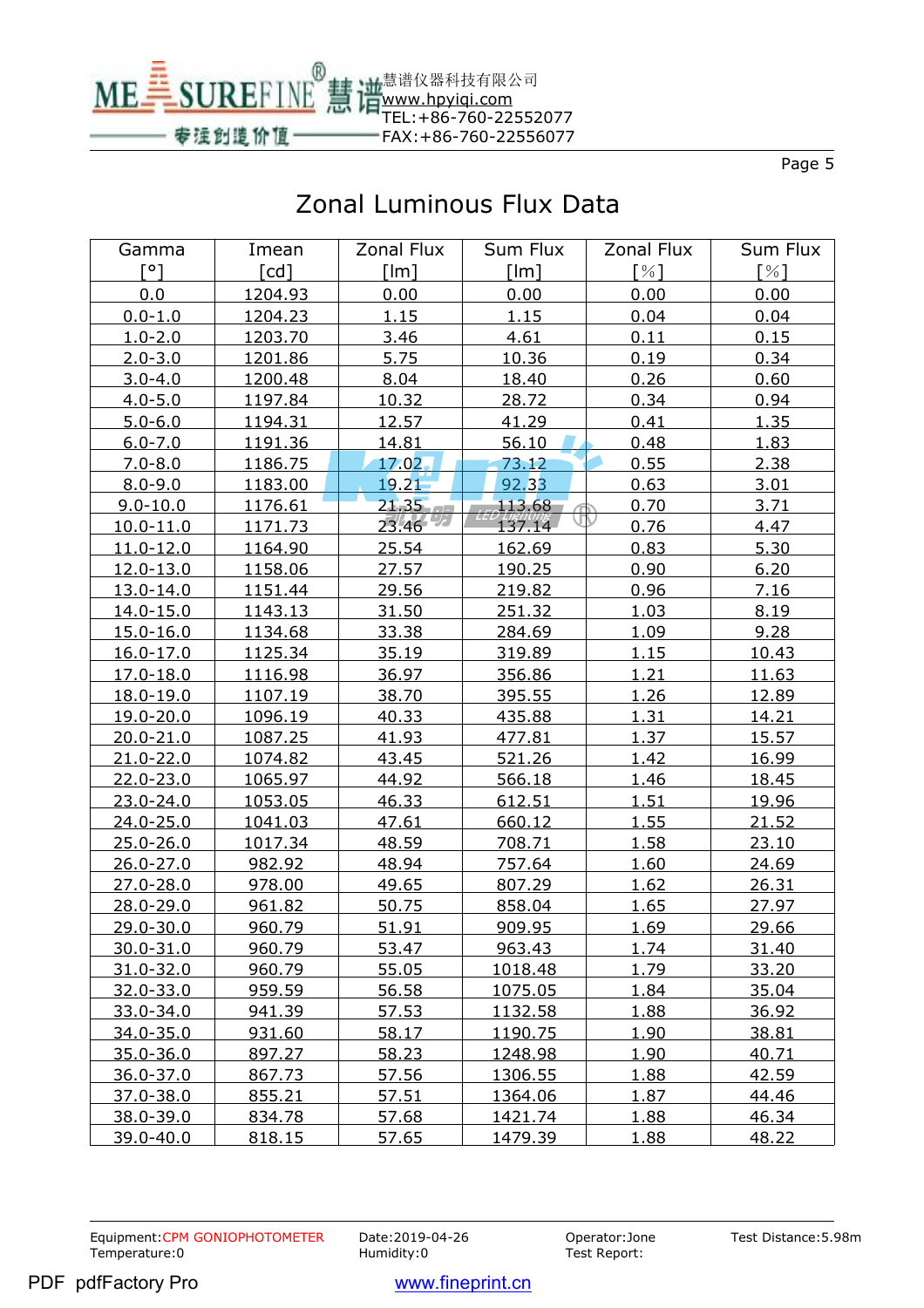

## Zonal Luminous Flux Data

| Gamma         | Imean   | Zonal Flux | Sum Flux | Zonal Flux        | Sum Flux |
|---------------|---------|------------|----------|-------------------|----------|
| [°]           | [cd]    | [lm]       | [Im]     | $\lceil\% \rceil$ | [%]      |
| 0.0           | 1204.93 | 0.00       | 0.00     | 0.00              | 0.00     |
| $0.0 - 1.0$   | 1204.23 | 1.15       | 1.15     | 0.04              | 0.04     |
| $1.0 - 2.0$   | 1203.70 | 3.46       | 4.61     | 0.11              | 0.15     |
| $2.0 - 3.0$   | 1201.86 | 5.75       | 10.36    | 0.19              | 0.34     |
| $3.0 - 4.0$   | 1200.48 | 8.04       | 18.40    | 0.26              | 0.60     |
| $4.0 - 5.0$   | 1197.84 | 10.32      | 28.72    | 0.34              | 0.94     |
| $5.0 - 6.0$   | 1194.31 | 12.57      | 41.29    | 0.41              | 1.35     |
| $6.0 - 7.0$   | 1191.36 | 14.81      | 56.10    | 0.48              | 1.83     |
| $7.0 - 8.0$   | 1186.75 | $17.02 -$  | 73.12    | 0.55              | 2.38     |
| $8.0 - 9.0$   | 1183.00 | 19.21      | 92.33    | 0.63              | 3.01     |
| $9.0 - 10.0$  | 1176.61 | 21.35      | 113.68   | 0.70              | 3.71     |
| 10.0-11.0     | 1171.73 | 23.46      | 137.14   | 0.76              | 4.47     |
| $11.0 - 12.0$ | 1164.90 | 25.54      | 162.69   | 0.83              | 5.30     |
| 12.0-13.0     | 1158.06 | 27.57      | 190.25   | 0.90              | 6.20     |
| $13.0 - 14.0$ | 1151.44 | 29.56      | 219.82   | 0.96              | 7.16     |
| 14.0-15.0     | 1143.13 | 31.50      | 251.32   | 1.03              | 8.19     |
| 15.0-16.0     | 1134.68 | 33.38      | 284.69   | 1.09              | 9.28     |
| $16.0 - 17.0$ | 1125.34 | 35.19      | 319.89   | 1.15              | 10.43    |
| 17.0-18.0     | 1116.98 | 36.97      | 356.86   | 1.21              | 11.63    |
| 18.0-19.0     | 1107.19 | 38.70      | 395.55   | 1.26              | 12.89    |
| 19.0-20.0     | 1096.19 | 40.33      | 435.88   | 1.31              | 14.21    |
| $20.0 - 21.0$ | 1087.25 | 41.93      | 477.81   | 1.37              | 15.57    |
| $21.0 - 22.0$ | 1074.82 | 43.45      | 521.26   | 1.42              | 16.99    |
| $22.0 - 23.0$ | 1065.97 | 44.92      | 566.18   | 1.46              | 18.45    |
| $23.0 - 24.0$ | 1053.05 | 46.33      | 612.51   | 1.51              | 19.96    |
| $24.0 - 25.0$ | 1041.03 | 47.61      | 660.12   | 1.55              | 21.52    |
| $25.0 - 26.0$ | 1017.34 | 48.59      | 708.71   | 1.58              | 23.10    |
| $26.0 - 27.0$ | 982.92  | 48.94      | 757.64   | 1.60              | 24.69    |
| $27.0 - 28.0$ | 978.00  | 49.65      | 807.29   | 1.62              | 26.31    |
| 28.0-29.0     | 961.82  | 50.75      | 858.04   | 1.65              | 27.97    |
| 29.0-30.0     | 960.79  | 51.91      | 909.95   | 1.69              | 29.66    |
| 30.0-31.0     | 960.79  | 53.47      | 963.43   | 1.74              | 31.40    |
| $31.0 - 32.0$ | 960.79  | 55.05      | 1018.48  | 1.79              | 33.20    |
| 32.0-33.0     | 959.59  | 56.58      | 1075.05  | 1.84              | 35.04    |
| 33.0-34.0     | 941.39  | 57.53      | 1132.58  | 1.88              | 36.92    |
| 34.0-35.0     | 931.60  | 58.17      | 1190.75  | <u>1.90</u>       | 38.81    |
| 35.0-36.0     | 897.27  | 58.23      | 1248.98  | 1.90              | 40.71    |
| $36.0 - 37.0$ | 867.73  | 57.56      | 1306.55  | 1.88              | 42.59    |
| $37.0 - 38.0$ | 855.21  | 57.51      | 1364.06  | 1.87              | 44.46    |
| 38.0-39.0     | 834.78  | 57.68      | 1421.74  | 1.88              | 46.34    |
| 39.0-40.0     | 818.15  | 57.65      | 1479.39  | 1.88              | 48.22    |

Equipment:CPM GONIOPHOTOMETER Date:2019-04-26 Operator:Jone<br>Temperature:0 Humidity:0 Humidity:0 Test Report: Temperature:0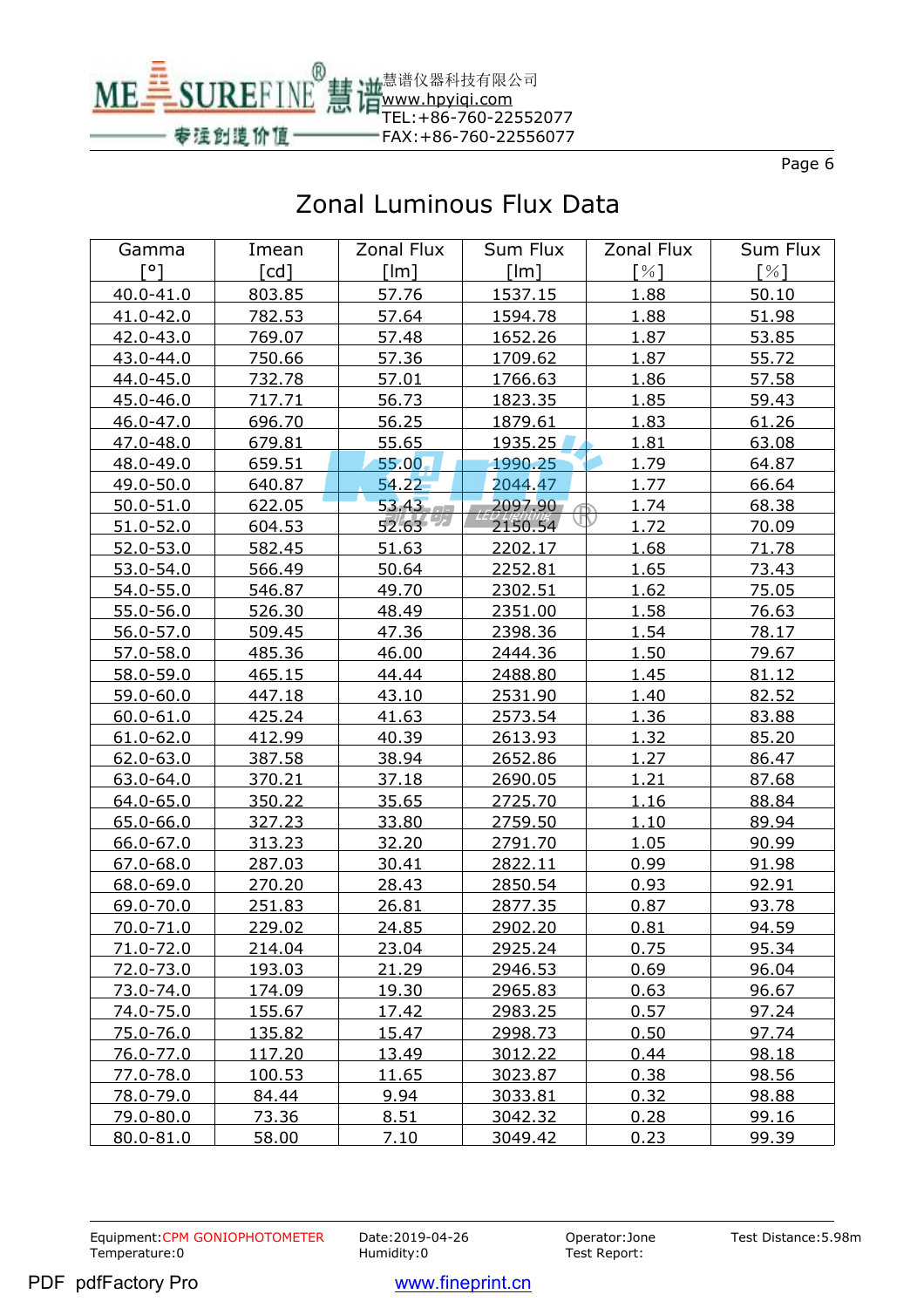

## Zonal Luminous Flux Data

| Gamma         | Imean         | Zonal Flux     | Sum Flux | Zonal Flux                  | Sum Flux     |
|---------------|---------------|----------------|----------|-----------------------------|--------------|
| $\lceil$ °1   | $[{\sf cd}]$  | [Im]           | [Im]     | $\lceil \frac{9}{6} \rceil$ | [%]          |
| $40.0 - 41.0$ | 803.85        | 57.76          | 1537.15  | 1.88                        | 50.10        |
| $41.0 - 42.0$ | 782.53        | 57.64          | 1594.78  | 1.88                        | 51.98        |
| 42.0-43.0     | 769.07        | 57.48          | 1652.26  | 1.87                        | 53.85        |
| 43.0-44.0     | 750.66        | 57.36          | 1709.62  | 1.87                        | 55.72        |
| $44.0 - 45.0$ | 732.78        | 57.01          | 1766.63  | 1.86                        | 57.58        |
| 45.0-46.0     | 717.71        | 56.73          | 1823.35  | 1.85                        | 59.43        |
| 46.0-47.0     | 696.70        | 56.25          | 1879.61  | 1.83                        | 61.26        |
| 47.0-48.0     | 679.81        | 55.65          | 1935.25  | 1.81                        | 63.08        |
| 48.0-49.0     | 659.51        | 55.00          | 1990.25  | 1.79                        | 64.87        |
| 49.0-50.0     | 640.87        | 54.22          | 2044.47  | 1.77                        | 66.64        |
| $50.0 - 51.0$ | 622.05        | $53.43 - 1$    | 2097.90  | 1.74                        | 68.38        |
| $51.0 - 52.0$ | 604.53        | 52.63          | 2150.54  | 1.72                        | 70.09        |
| $52.0 - 53.0$ | 582.45        | 51.63          | 2202.17  | 1.68                        | 71.78        |
| 53.0-54.0     | 566.49        | 50.64          | 2252.81  | 1.65                        | 73.43        |
| $54.0 - 55.0$ | 546.87        | 49.70          | 2302.51  | 1.62                        | 75.05        |
| $55.0 - 56.0$ | 526.30        | 48.49          | 2351.00  | 1.58                        | 76.63        |
| $56.0 - 57.0$ | 509.45        | 47.36          | 2398.36  | 1.54                        | 78.17        |
| $57.0 - 58.0$ | 485.36        | 46.00          | 2444.36  | 1.50                        | 79.67        |
| 58.0-59.0     | 465.15        | 44.44          | 2488.80  | 1.45                        | 81.12        |
| $59.0 - 60.0$ | 447.18        | 43.10          | 2531.90  | 1.40                        | 82.52        |
| $60.0 - 61.0$ | 425.24        | 41.63          | 2573.54  | 1.36                        | 83.88        |
| $61.0 - 62.0$ | 412.99        | 40.39          | 2613.93  | 1.32                        | 85.20        |
| $62.0 - 63.0$ | 387.58        | 38.94          | 2652.86  | 1.27                        | 86.47        |
| 63.0-64.0     | 370.21        | 37.18          | 2690.05  | 1.21                        | 87.68        |
| $64.0 - 65.0$ | 350.22        | 35.65          | 2725.70  | 1.16                        | 88.84        |
| $65.0 - 66.0$ | 327.23        | 33.80          | 2759.50  | <u>1.10</u>                 | 89.94        |
| $66.0 - 67.0$ | 313.23        | 32.20          | 2791.70  | 1.05                        | 90.99        |
| $67.0 - 68.0$ | 287.03        | 30.41          | 2822.11  | 0.99                        | 91.98        |
| 68.0-69.0     | 270.20        | 28.43          | 2850.54  | 0.93                        | 92.91        |
| $69.0 - 70.0$ | 251.83        | 26.81          | 2877.35  | 0.87                        | 93.78        |
| $70.0 - 71.0$ | 229.02        | 24.85          | 2902.20  | 0.81                        | 94.59        |
| 71.0-72.0     | 214.04        | 23.04          | 2925.24  | 0.75                        | <u>95.34</u> |
| 72.0-73.0     | 193.03        | 21.29          | 2946.53  | 0.69                        | 96.04        |
| 73.0-74.0     | 174.09        | <u>19.30</u>   | 2965.83  | 0.63                        | 96.67        |
| 74.0-75.0     | 155.67        | 17.42          | 2983.25  | 0.57                        | 97.24        |
| 75.0-76.0     | <u>135.82</u> | 15.47          | 2998.73  | 0.50                        | 97.74        |
| 76.0-77.0     | 117.20        | 13.49          | 3012.22  | 0.44                        | 98.18        |
| 77.0-78.0     | <u>100.53</u> | <u> 11.65 </u> | 3023.87  | 0.38                        | 98.56        |
| 78.0-79.0     | 84.44         | 9.94           | 3033.81  | 0.32                        | 98.88        |
| 79.0-80.0     | 73.36         | 8.51           | 3042.32  | 0.28                        | 99.16        |
| 80.0-81.0     | 58.00         | 7.10           | 3049.42  | 0.23                        | 99.39        |

Equipment:CPM GONIOPHOTOMETER Date:2019-04-26 Operator:Jone<br>Temperature:0 Humidity:0 Humidity:0 Test Report: Temperature:0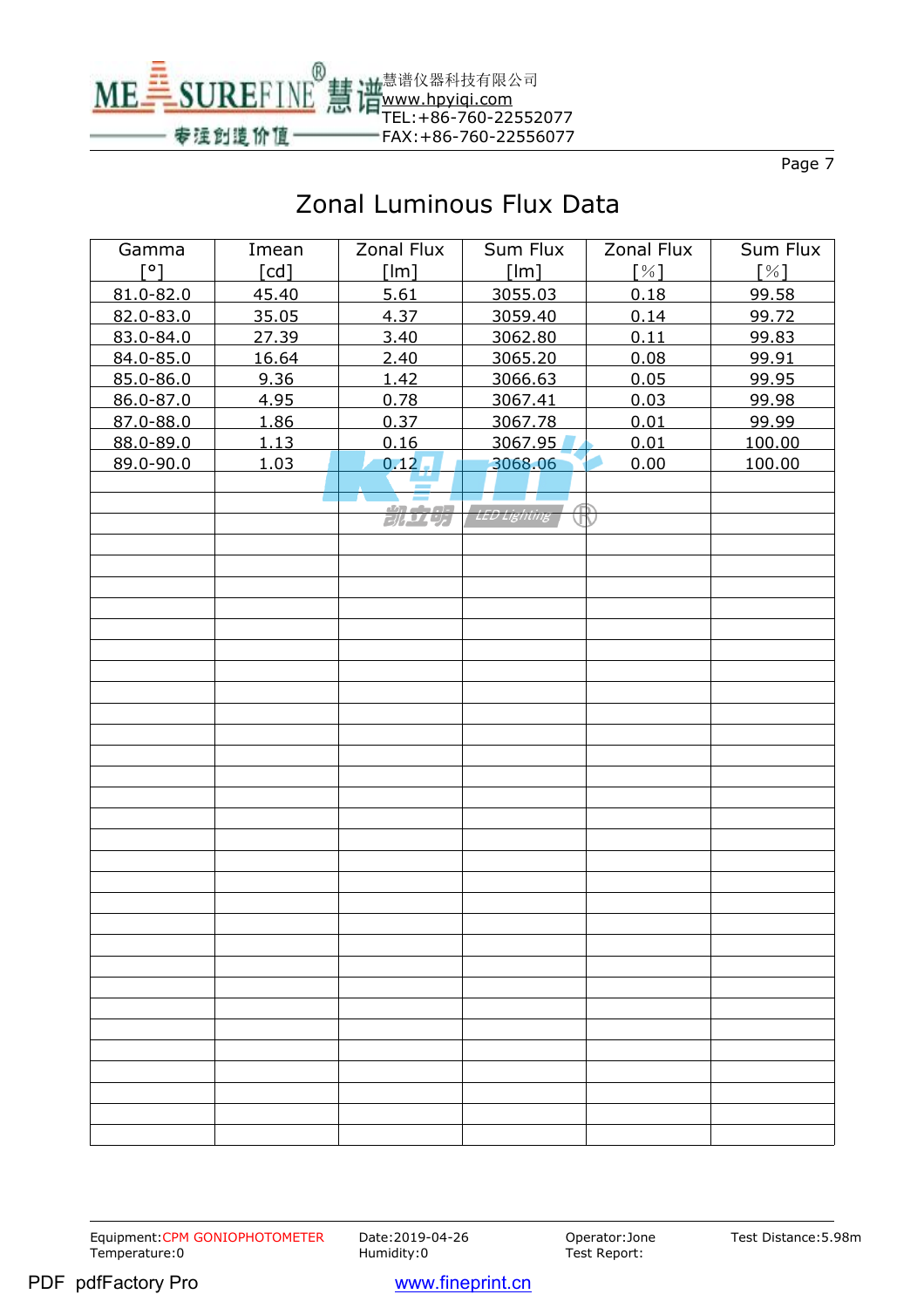

# Zonal Luminous Flux Data

| Gamma         | Imean | Zonal Flux | Sum Flux            | Zonal Flux  | Sum Flux |
|---------------|-------|------------|---------------------|-------------|----------|
| $\lceil$ °1   | [cd]  | [Im]       | [lm]                | [%]         | [%]      |
| $81.0 - 82.0$ | 45.40 | 5.61       | 3055.03             | 0.18        | 99.58    |
| 82.0-83.0     | 35.05 | 4.37       | 3059.40             | 0.14        | 99.72    |
| 83.0-84.0     | 27.39 | 3.40       | 3062.80             | 0.11        | 99.83    |
| 84.0-85.0     | 16.64 | 2.40       | 3065.20             | 0.08        | 99.91    |
| 85.0-86.0     | 9.36  | 1.42       | 3066.63             | 0.05        | 99.95    |
| 86.0-87.0     | 4.95  | 0.78       | 3067.41             | 0.03        | 99.98    |
| 87.0-88.0     | 1.86  | 0.37       | 3067.78             | 0.01        | 99.99    |
| 88.0-89.0     | 1.13  | 0.16       | 3067.95             | 0.01        | 100.00   |
| 89.0-90.0     | 1.03  | 0.12       | 3068.06             | 0.00        | 100.00   |
|               |       |            |                     |             |          |
|               |       | 凯克斯        | <b>LED Lighting</b> | $\bigoplus$ |          |
|               |       |            |                     |             |          |
|               |       |            |                     |             |          |
|               |       |            |                     |             |          |
|               |       |            |                     |             |          |
|               |       |            |                     |             |          |
|               |       |            |                     |             |          |
|               |       |            |                     |             |          |
|               |       |            |                     |             |          |
|               |       |            |                     |             |          |
|               |       |            |                     |             |          |
|               |       |            |                     |             |          |
|               |       |            |                     |             |          |
|               |       |            |                     |             |          |
|               |       |            |                     |             |          |
|               |       |            |                     |             |          |
|               |       |            |                     |             |          |
|               |       |            |                     |             |          |
|               |       |            |                     |             |          |
|               |       |            |                     |             |          |
|               |       |            |                     |             |          |
|               |       |            |                     |             |          |
|               |       |            |                     |             |          |
|               |       |            |                     |             |          |
|               |       |            |                     |             |          |
|               |       |            |                     |             |          |
|               |       |            |                     |             |          |
|               |       |            |                     |             |          |
|               |       |            |                     |             |          |
|               |       |            |                     |             |          |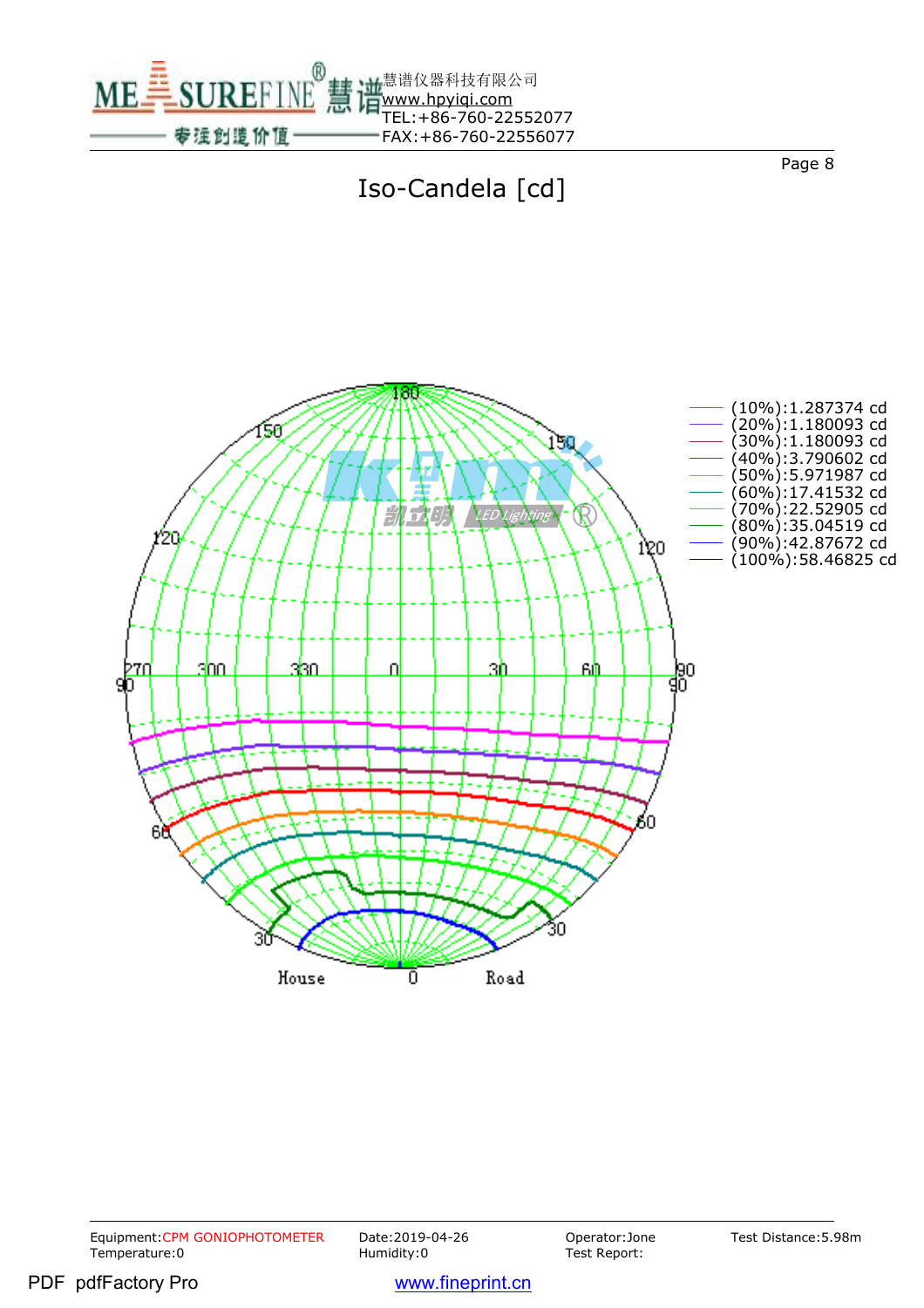



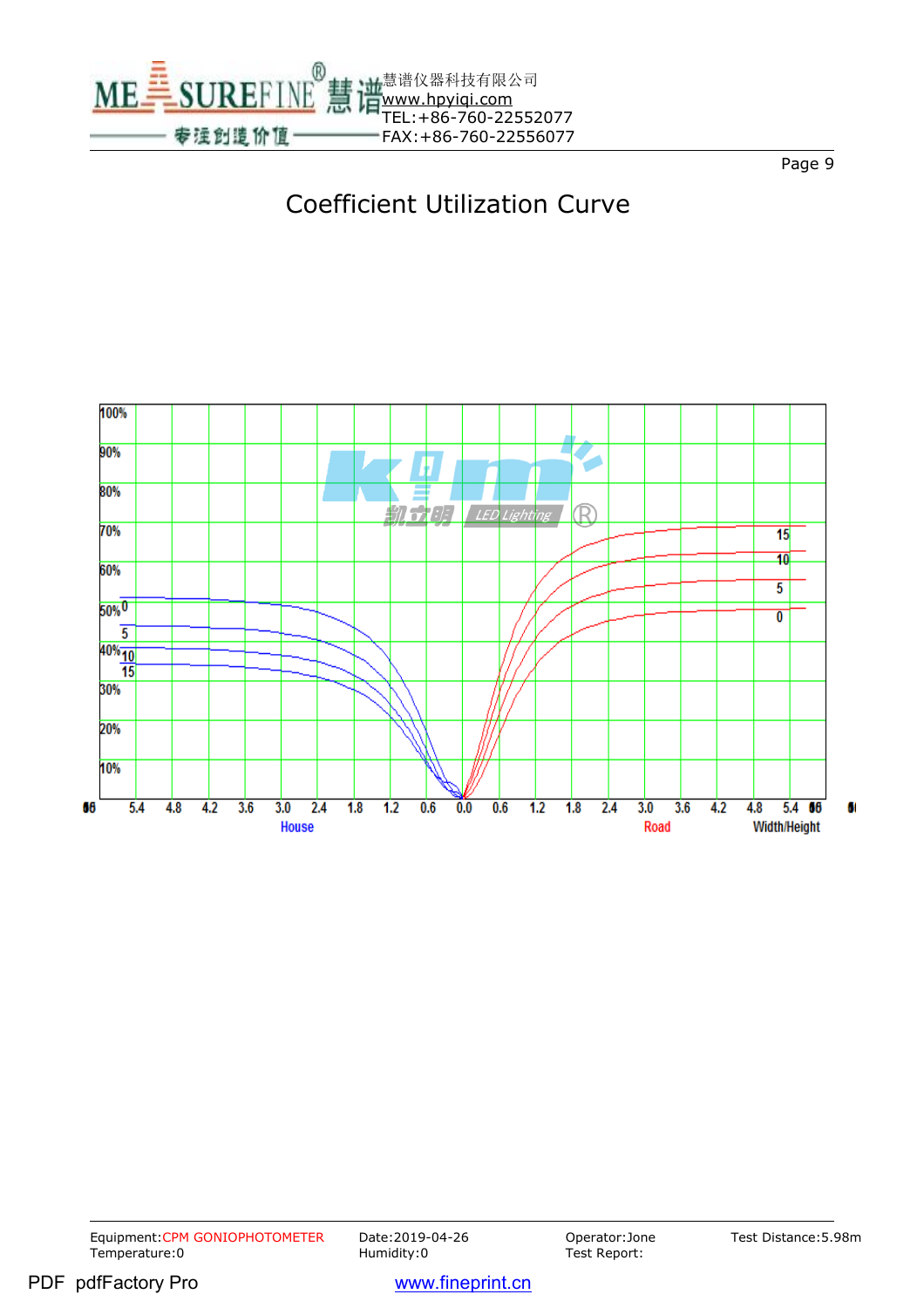





Equipment:CPM GONIOPHOTOMETER Date:2019-04-26 Operator:Jone<br>Temperature:0 Humidity:0 Humidity:0 Test Report: Temperature:0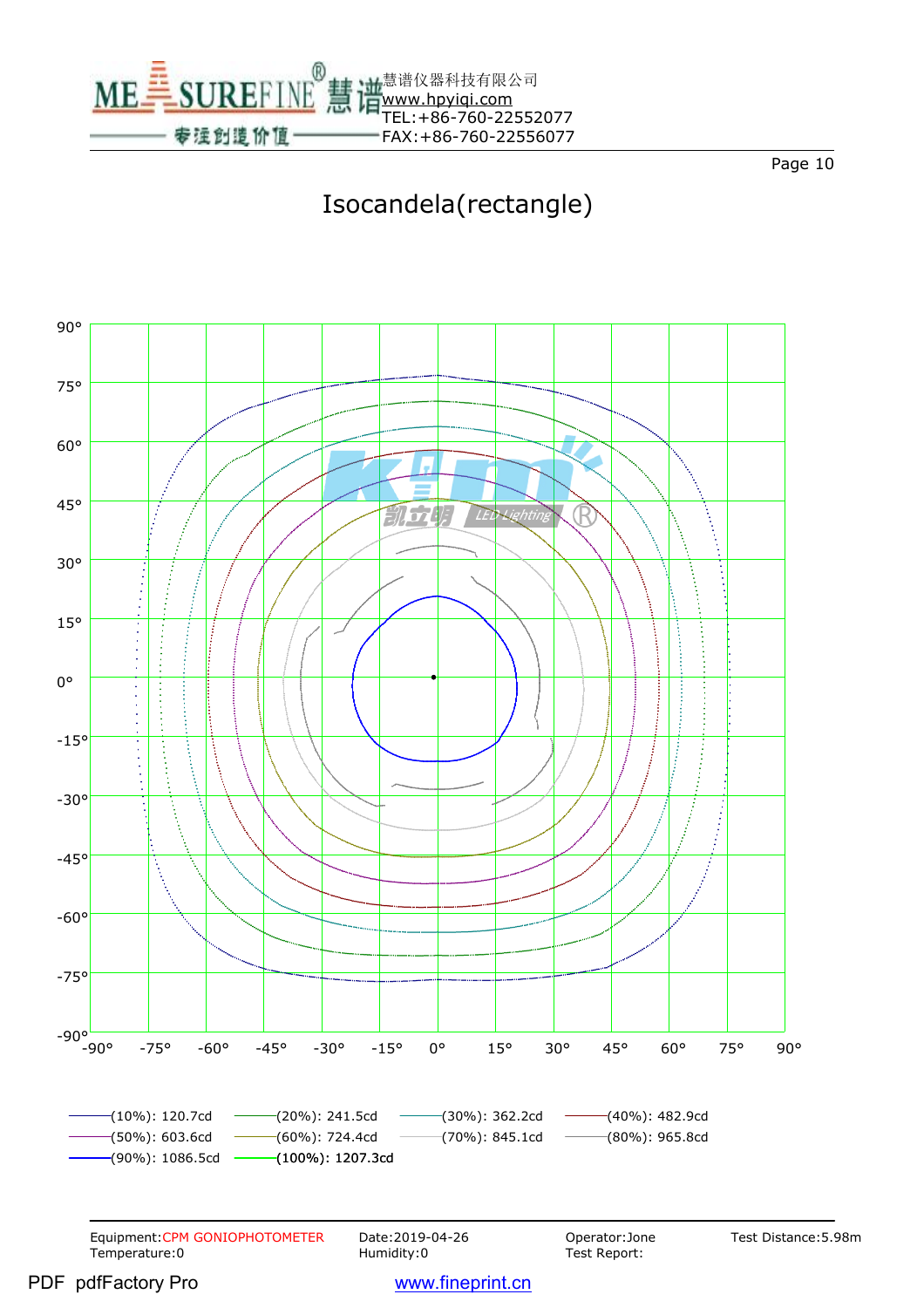

# Isocandela(rectangle)

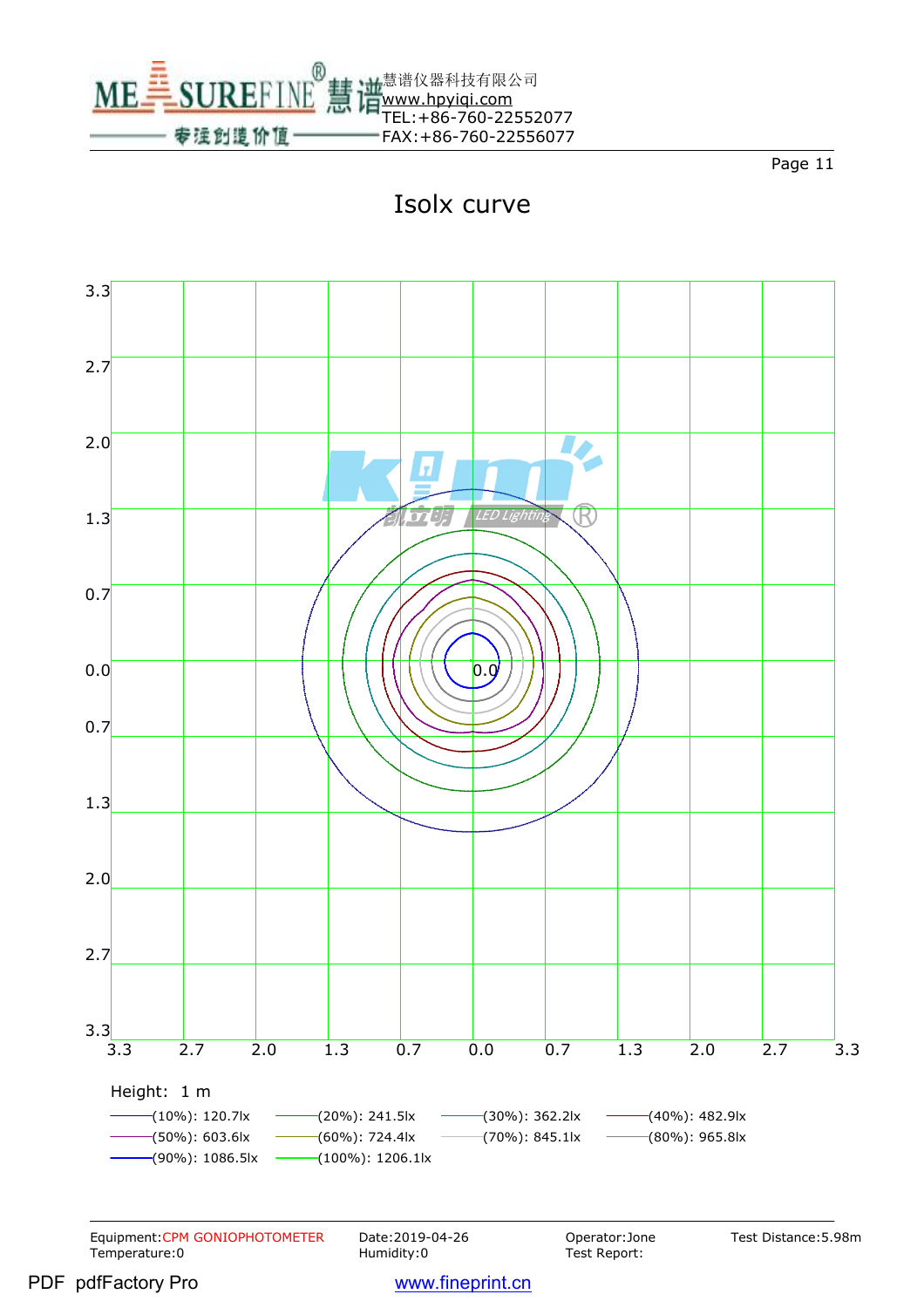





Equipment:CPM GONIOPHOTOMETER Date:2019-04-26 Operator:Jone<br>Temperature:0 Humidity:0 Humidity:0 Test Report: Temperature:0

Test Report:

Test Distance:5.98m

PDF pdfFactory Pro www.fineprint.cn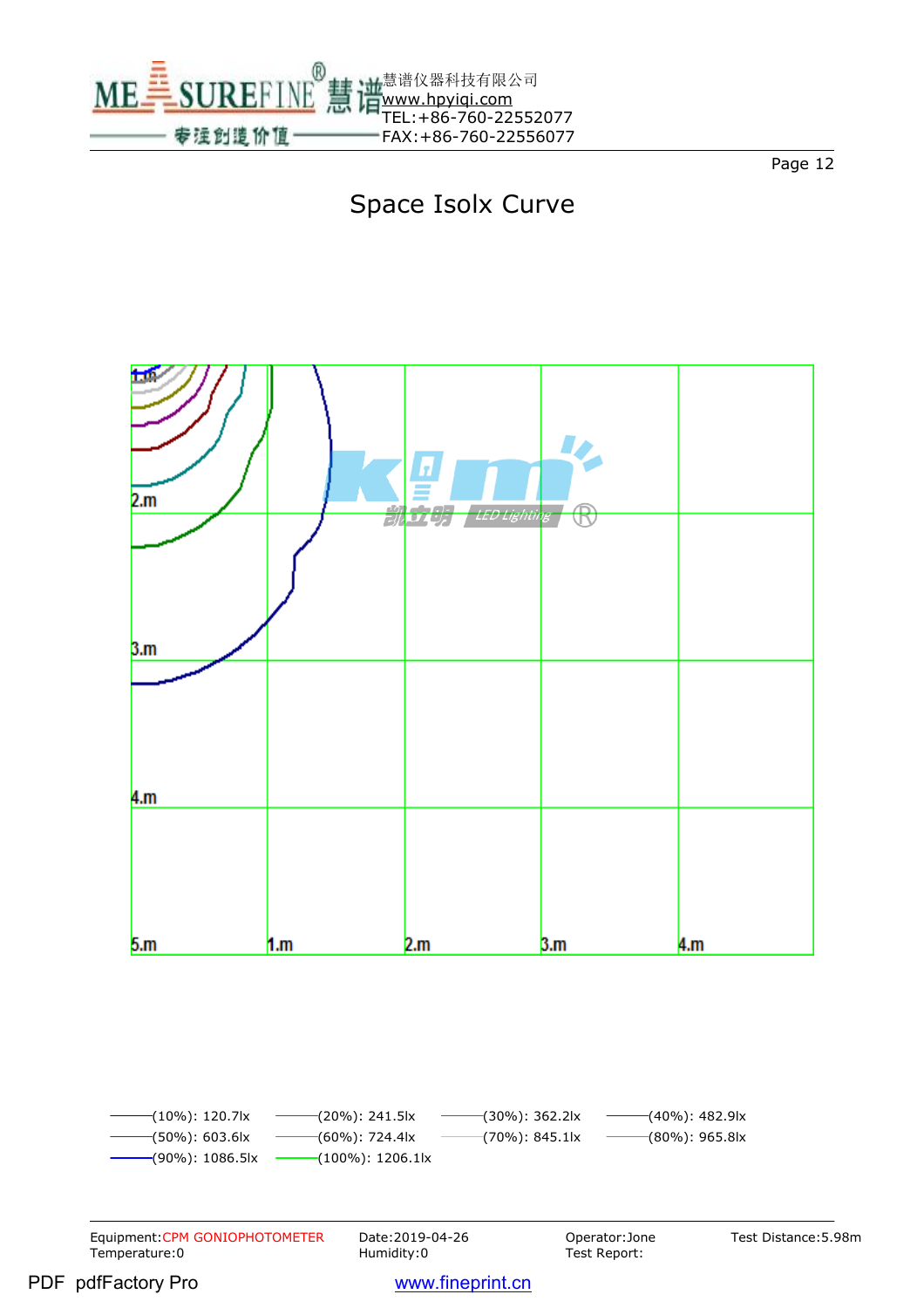

# Space Isolx Curve



 $-(10\%)$ : 120.7lx  $-$  (20%): 241.5lx  $-$  (30%): 362.2lx  $-$  (40%): 482.9lx  $-(50\%)$ : 603.6lx  $(60\%)$ : 724.4lx  $(70\%)$ : 845.1lx  $(80\%)$ : 965.8lx  $(90\%)$ : 1086.5lx (100%): 1206.1lx

Equipment:CPM GONIOPHOTOMETER Date:2019-04-26 Operator:Jone<br>Temperature:0 Humidity:0 Humidity:0 Test Report: Temperature:0

Test Report:

Test Distance:5.98m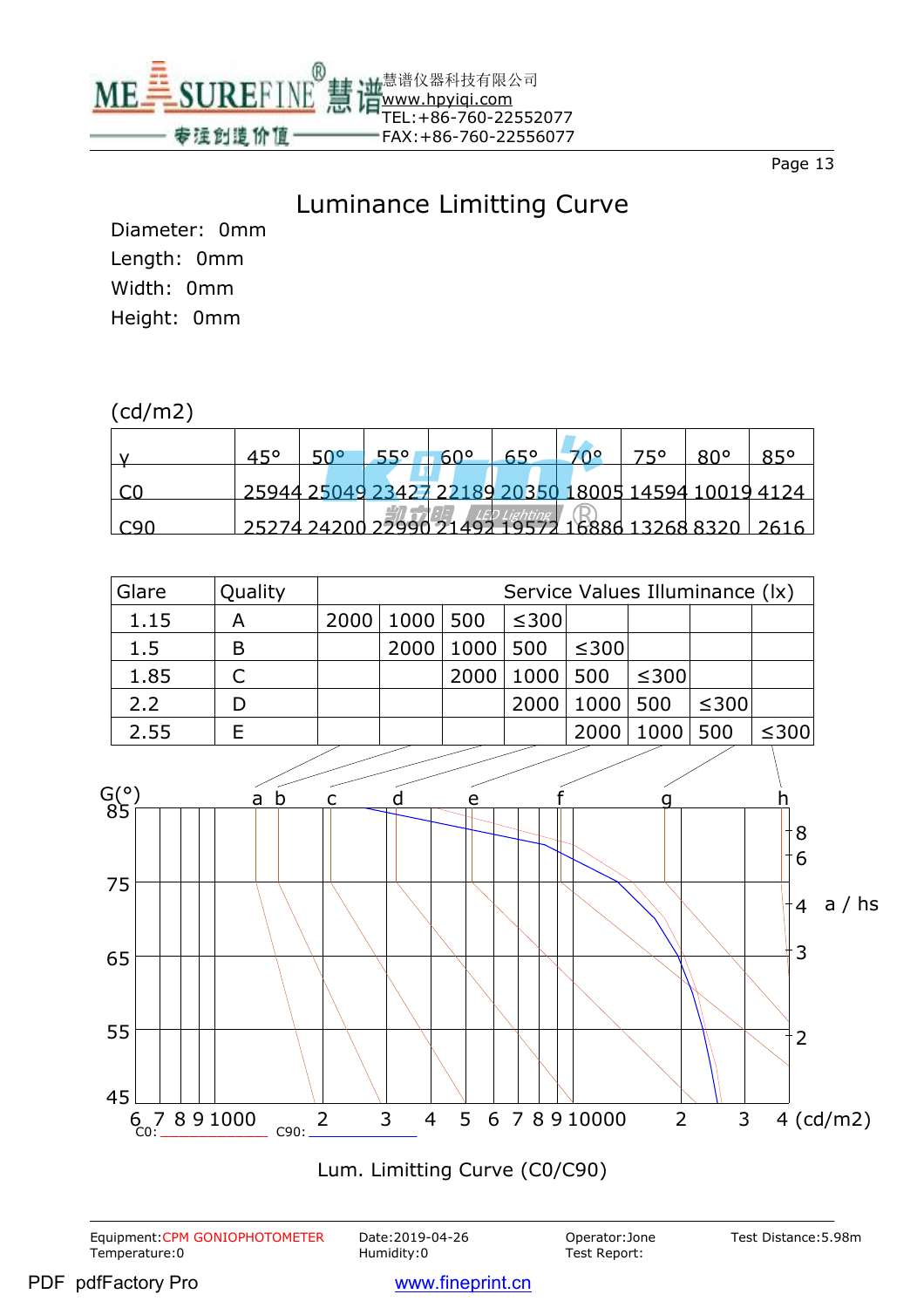

#### Luminance Limitting Curve

Diameter: 0mm Length: 0mm Width: 0mm Height: 0mm

#### (cd/m2)

|       | 450 | ∘ה⊼ | 550 | GOO | <b>A50</b>                                           | フにの | <b>RU</b> o |  |
|-------|-----|-----|-----|-----|------------------------------------------------------|-----|-------------|--|
|       |     |     |     |     | 25944 25049 23427 22189 20350 18005 14594 10019 4124 |     |             |  |
| . Can |     |     |     |     | 25274 24200 22990 21492 19572 16886 13268 8320 2616  |     |             |  |



Equipment:CPM GONIOPHOTOMETER Date:2019-04-26 Operator:Jone<br>Temperature:0 **Distember 2018** Humidity:0 Test Report: Temperature:0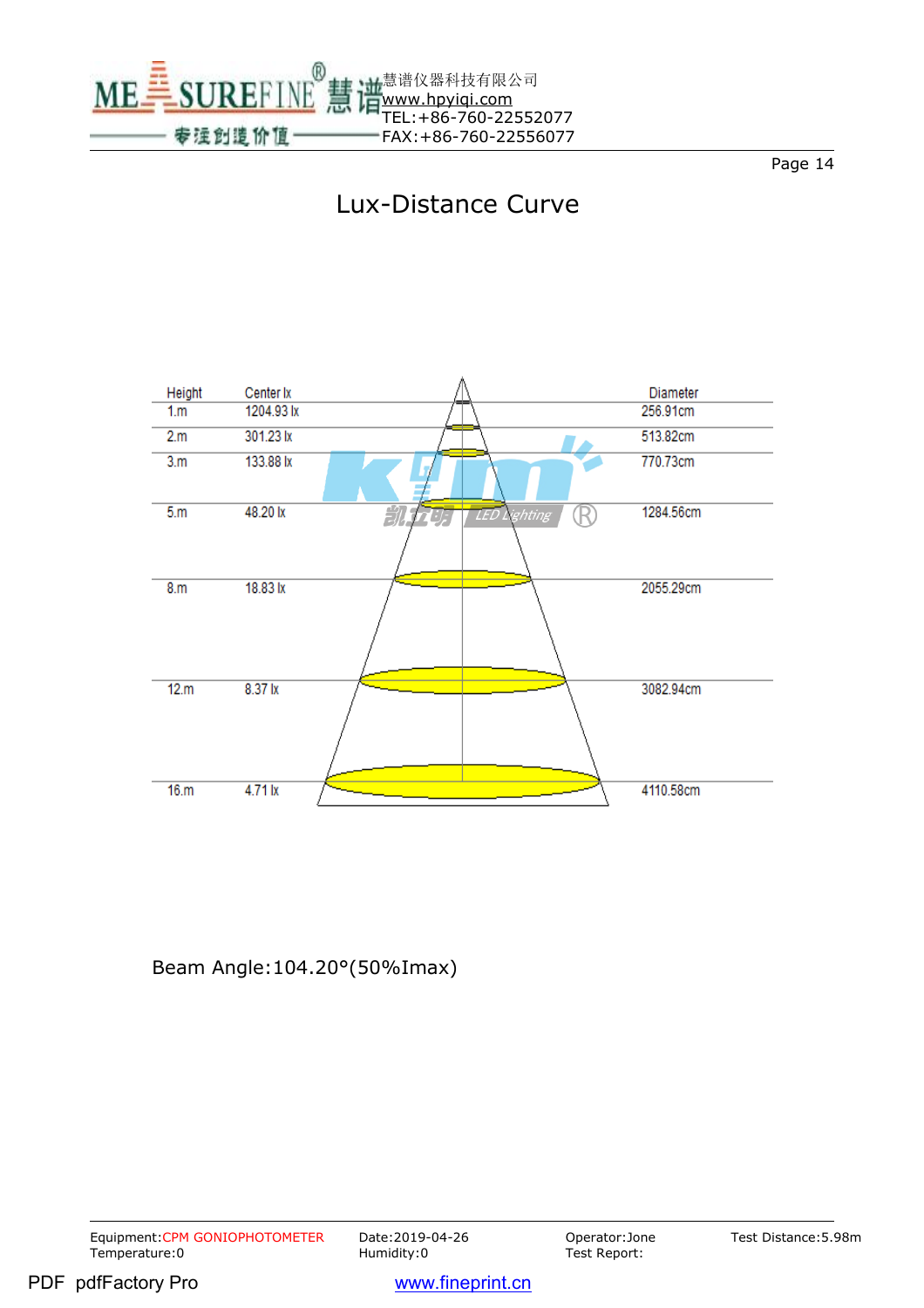

## Lux-Distance Curve



Beam Angle:104.20°(50%Imax)

Equipment:CPM GONIOPHOTOMETER Date:2019-04-26 Operator:Jone<br>Temperature:0 Humidity:0 Humidity:0 Test Report: Temperature:0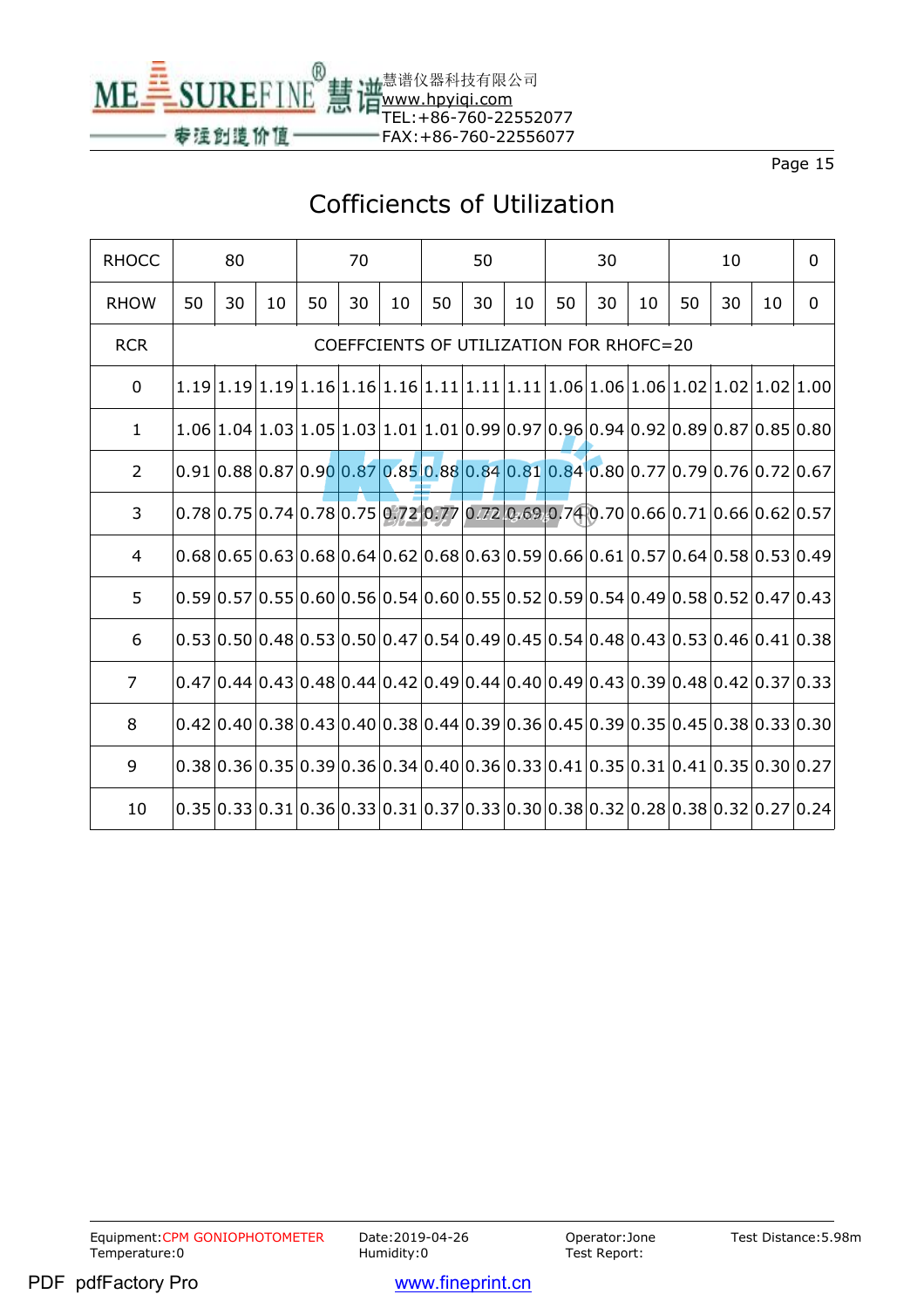

## Cofficiencts of Utilization

| <b>RHOCC</b>   | 80 |                                         |    | 70 |    |    | 50 |    |    | 30 |    |    | 10 |    |    | $\mathbf 0$                                                                        |
|----------------|----|-----------------------------------------|----|----|----|----|----|----|----|----|----|----|----|----|----|------------------------------------------------------------------------------------|
| <b>RHOW</b>    | 50 | 30                                      | 10 | 50 | 30 | 10 | 50 | 30 | 10 | 50 | 30 | 10 | 50 | 30 | 10 | $\mathbf 0$                                                                        |
| <b>RCR</b>     |    | COEFFCIENTS OF UTILIZATION FOR RHOFC=20 |    |    |    |    |    |    |    |    |    |    |    |    |    |                                                                                    |
| $\mathbf{0}$   |    |                                         |    |    |    |    |    |    |    |    |    |    |    |    |    |                                                                                    |
| $\mathbf{1}$   |    |                                         |    |    |    |    |    |    |    |    |    |    |    |    |    | $1.06 1.04 1.03 1.05 1.03 1.01 1.01 0.99 0.97 0.96 0.94 0.92 0.89 0.87 0.85 0.80 $ |
| $\overline{2}$ |    |                                         |    |    |    |    |    |    |    |    |    |    |    |    |    | $0.91 0.88 0.87 0.90 0.87 0.85 0.88 0.84 0.81 0.84 0.80 0.77 0.79 0.76 0.72 0.67 $ |
| 3              |    |                                         |    |    |    |    |    |    |    |    |    |    |    |    |    | $0.78 0.75 0.74 0.78 0.75 0.72 0.77 0.72 0.69 0.74 0.70 0.66 0.71 0.66 0.62 0.57 $ |
| 4              |    |                                         |    |    |    |    |    |    |    |    |    |    |    |    |    | $0.68 0.65 0.63 0.68 0.64 0.62 0.68 0.63 0.59 0.66 0.61 0.57 0.64 0.58 0.53 0.49$  |
| 5              |    |                                         |    |    |    |    |    |    |    |    |    |    |    |    |    | $0.59 0.57 0.55 0.60 0.56 0.54 0.60 0.55 0.52 0.59 0.54 0.49 0.58 0.52 0.47 0.43 $ |
| 6              |    |                                         |    |    |    |    |    |    |    |    |    |    |    |    |    | $0.53 0.50 0.48 0.53 0.50 0.47 0.54 0.49 0.45 0.54 0.48 0.43 0.53 0.46 0.41 0.38$  |
| $\overline{7}$ |    |                                         |    |    |    |    |    |    |    |    |    |    |    |    |    | $0.47 0.44 0.43 0.48 0.44 0.42 0.49 0.44 0.40 0.49 0.43 0.39 0.48 0.42 0.37 0.33 $ |
| 8              |    |                                         |    |    |    |    |    |    |    |    |    |    |    |    |    |                                                                                    |
| 9              |    |                                         |    |    |    |    |    |    |    |    |    |    |    |    |    | $0.38 0.36 0.35 0.39 0.36 0.34 0.40 0.36 0.33 0.41 0.35 0.31 0.41 0.35 0.30 0.27 $ |
| 10             |    |                                         |    |    |    |    |    |    |    |    |    |    |    |    |    | $0.35 0.33 0.31 0.36 0.33 0.31 0.37 0.33 0.30 0.38 0.32 0.28 0.38 0.32 0.27 0.24$  |

Test Distance:5.98m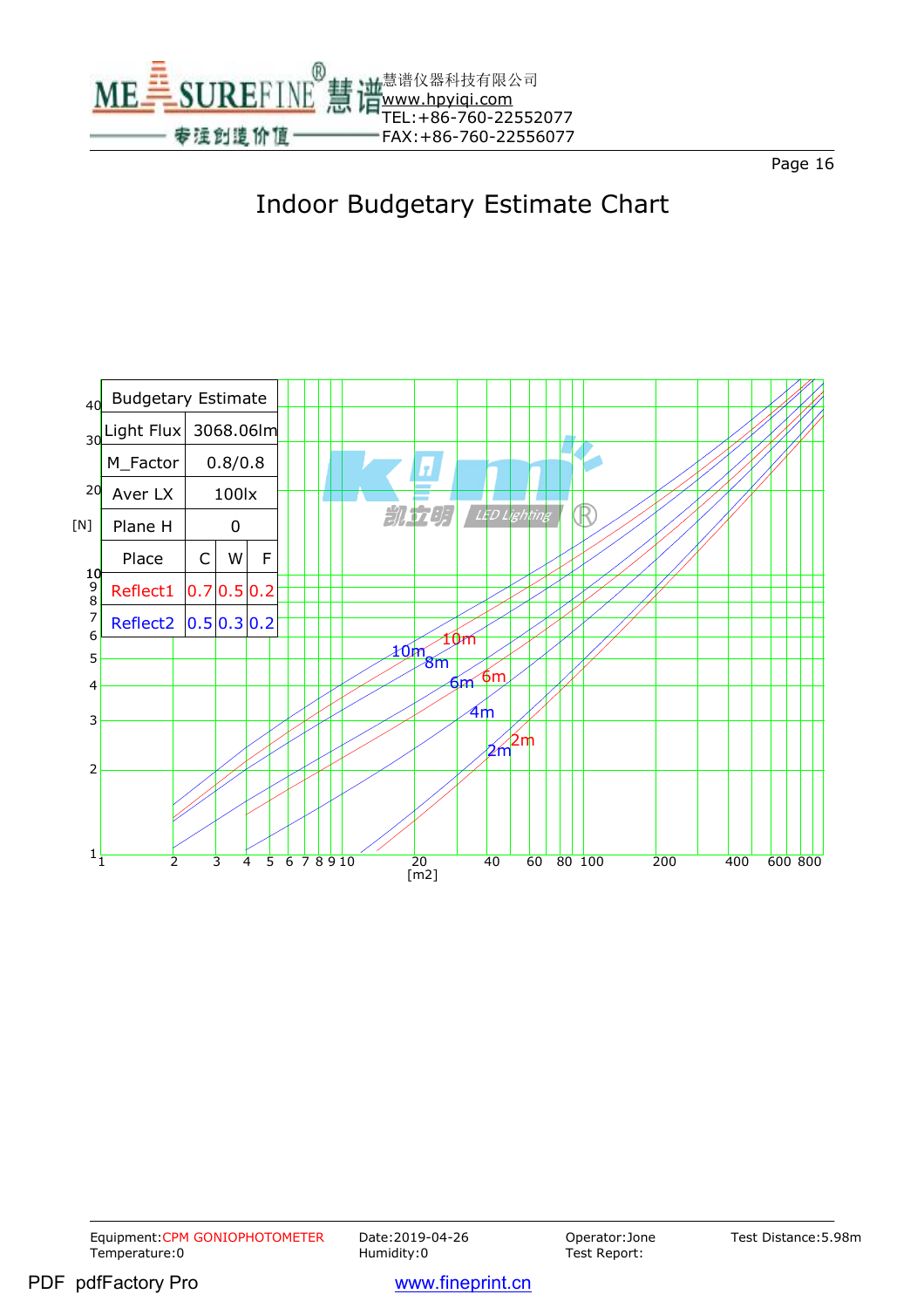